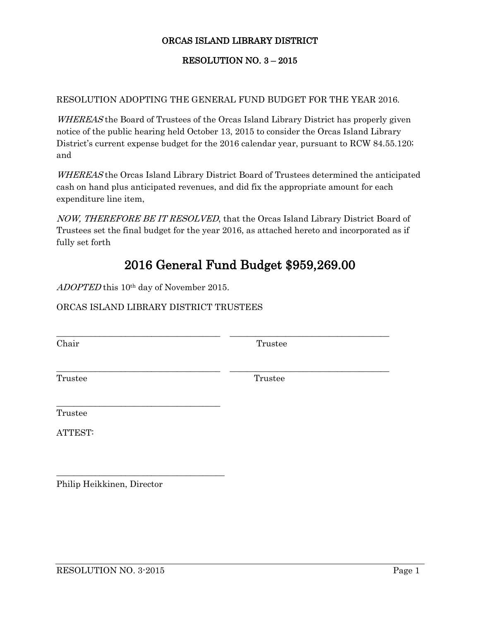## ORCAS ISLAND LIBRARY DISTRICT

## RESOLUTION NO. 3 – 2015

## RESOLUTION ADOPTING THE GENERAL FUND BUDGET FOR THE YEAR 2016.

WHEREAS the Board of Trustees of the Orcas Island Library District has properly given notice of the public hearing held October 13, 2015 to consider the Orcas Island Library District's current expense budget for the 2016 calendar year, pursuant to RCW 84.55.120; and

WHEREAS the Orcas Island Library District Board of Trustees determined the anticipated cash on hand plus anticipated revenues, and did fix the appropriate amount for each expenditure line item,

NOW, THEREFORE BE IT RESOLVED, that the Orcas Island Library District Board of Trustees set the final budget for the year 2016, as attached hereto and incorporated as if fully set forth

\_\_\_\_\_\_\_\_\_\_\_\_\_\_\_\_\_\_\_\_\_\_\_\_\_\_\_\_\_\_\_\_\_\_\_\_\_\_ \_\_\_\_\_\_\_\_\_\_\_\_\_\_\_\_\_\_\_\_\_\_\_\_\_\_\_\_\_\_\_\_\_\_\_\_\_

\_\_\_\_\_\_\_\_\_\_\_\_\_\_\_\_\_\_\_\_\_\_\_\_\_\_\_\_\_\_\_\_\_\_\_\_\_\_ \_\_\_\_\_\_\_\_\_\_\_\_\_\_\_\_\_\_\_\_\_\_\_\_\_\_\_\_\_\_\_\_\_\_\_\_\_

## 2016 General Fund Budget \$959,269.00

ADOPTED this 10<sup>th</sup> day of November 2015.

\_\_\_\_\_\_\_\_\_\_\_\_\_\_\_\_\_\_\_\_\_\_\_\_\_\_\_\_\_\_\_\_\_\_\_\_\_\_

\_\_\_\_\_\_\_\_\_\_\_\_\_\_\_\_\_\_\_\_\_\_\_\_\_\_\_\_\_\_\_\_\_\_\_\_\_\_\_

ORCAS ISLAND LIBRARY DISTRICT TRUSTEES

Chair Trustee

Trustee Trustee

Trustee

ATTEST:

Philip Heikkinen, Director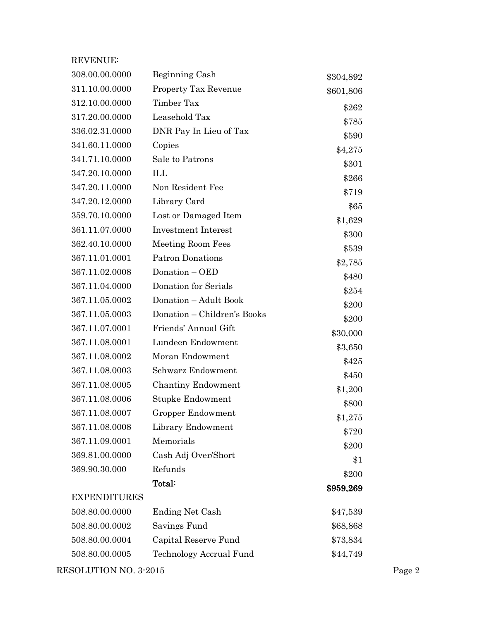| <b>REVENUE:</b>     |                             |           |
|---------------------|-----------------------------|-----------|
| 308.00.00.0000      | Beginning Cash              | \$304,892 |
| 311.10.00.0000      | <b>Property Tax Revenue</b> | \$601,806 |
| 312.10.00.0000      | Timber Tax                  | \$262     |
| 317.20.00.0000      | Leasehold Tax               | \$785     |
| 336.02.31.0000      | DNR Pay In Lieu of Tax      | \$590     |
| 341.60.11.0000      | Copies                      | \$4,275   |
| 341.71.10.0000      | Sale to Patrons             | \$301     |
| 347.20.10.0000      | ILL                         | \$266     |
| 347.20.11.0000      | Non Resident Fee            | \$719     |
| 347.20.12.0000      | Library Card                | \$65      |
| 359.70.10.0000      | Lost or Damaged Item        | \$1,629   |
| 361.11.07.0000      | <b>Investment Interest</b>  | \$300     |
| 362.40.10.0000      | Meeting Room Fees           | \$539     |
| 367.11.01.0001      | <b>Patron Donations</b>     | \$2,785   |
| 367.11.02.0008      | Donation - OED              | \$480     |
| 367.11.04.0000      | Donation for Serials        | \$254     |
| 367.11.05.0002      | Donation - Adult Book       | \$200     |
| 367.11.05.0003      | Donation – Children's Books | \$200     |
| 367.11.07.0001      | Friends' Annual Gift        | \$30,000  |
| 367.11.08.0001      | Lundeen Endowment           | \$3,650   |
| 367.11.08.0002      | Moran Endowment             | \$425     |
| 367.11.08.0003      | Schwarz Endowment           | \$450     |
| 367.11.08.0005      | <b>Chantiny Endowment</b>   | \$1,200   |
| 367.11.08.0006      | Stupke Endowment            | \$800     |
| 367.11.08.0007      | Gropper Endowment           | \$1,275   |
| 367.11.08.0008      | Library Endowment           | \$720     |
| 367.11.09.0001      | Memorials                   | \$200     |
| 369.81.00.0000      | Cash Adj Over/Short         | \$1       |
| 369.90.30.000       | Refunds                     | \$200     |
|                     | Total:                      | \$959,269 |
| <b>EXPENDITURES</b> |                             |           |
| 508.80.00.0000      | <b>Ending Net Cash</b>      | \$47,539  |
| 508.80.00.0002      | Savings Fund                | \$68,868  |
| 508.80.00.0004      | Capital Reserve Fund        | \$73,834  |
| 508.80.00.0005      | Technology Accrual Fund     | \$44,749  |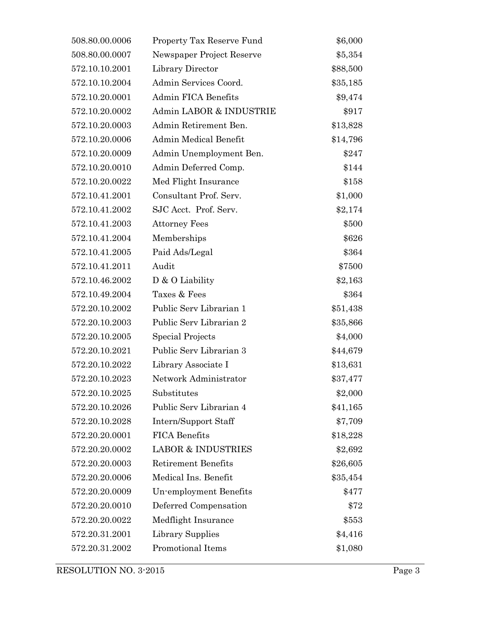| 508.80.00.0006 | Property Tax Reserve Fund     | \$6,000  |
|----------------|-------------------------------|----------|
| 508.80.00.0007 | Newspaper Project Reserve     | \$5,354  |
| 572.10.10.2001 | Library Director              | \$88,500 |
| 572.10.10.2004 | Admin Services Coord.         | \$35,185 |
| 572.10.20.0001 | Admin FICA Benefits           | \$9,474  |
| 572.10.20.0002 | Admin LABOR & INDUSTRIE       | \$917    |
| 572.10.20.0003 | Admin Retirement Ben.         | \$13,828 |
| 572.10.20.0006 | Admin Medical Benefit         | \$14,796 |
| 572.10.20.0009 | Admin Unemployment Ben.       | \$247    |
| 572.10.20.0010 | Admin Deferred Comp.          | \$144    |
| 572.10.20.0022 | Med Flight Insurance          | \$158    |
| 572.10.41.2001 | Consultant Prof. Serv.        | \$1,000  |
| 572.10.41.2002 | SJC Acct. Prof. Serv.         | \$2,174  |
| 572.10.41.2003 | <b>Attorney Fees</b>          | \$500    |
| 572.10.41.2004 | Memberships                   | \$626    |
| 572.10.41.2005 | Paid Ads/Legal                | \$364    |
| 572.10.41.2011 | Audit                         | \$7500   |
| 572.10.46.2002 | $D$ & O Liability             | \$2,163  |
| 572.10.49.2004 | Taxes & Fees                  | \$364    |
| 572.20.10.2002 | Public Serv Librarian 1       | \$51,438 |
| 572.20.10.2003 | Public Serv Librarian 2       | \$35,866 |
| 572.20.10.2005 | Special Projects              | \$4,000  |
| 572.20.10.2021 | Public Serv Librarian 3       | \$44,679 |
| 572.20.10.2022 | Library Associate I           | \$13,631 |
| 572.20.10.2023 | Network Administrator         | \$37,477 |
| 572.20.10.2025 | Substitutes                   | \$2,000  |
| 572.20.10.2026 | Public Serv Librarian 4       | \$41,165 |
| 572.20.10.2028 | Intern/Support Staff          | \$7,709  |
| 572.20.20.0001 | <b>FICA Benefits</b>          | \$18,228 |
| 572.20.20.0002 | <b>LABOR &amp; INDUSTRIES</b> | \$2,692  |
| 572.20.20.0003 | <b>Retirement Benefits</b>    | \$26,605 |
| 572.20.20.0006 | Medical Ins. Benefit          | \$35,454 |
| 572.20.20.0009 | Un-employment Benefits        | \$477    |
| 572.20.20.0010 | Deferred Compensation         | \$72     |
| 572.20.20.0022 | Medflight Insurance           | \$553    |
| 572.20.31.2001 | Library Supplies              | \$4,416  |
| 572.20.31.2002 | Promotional Items             | \$1,080  |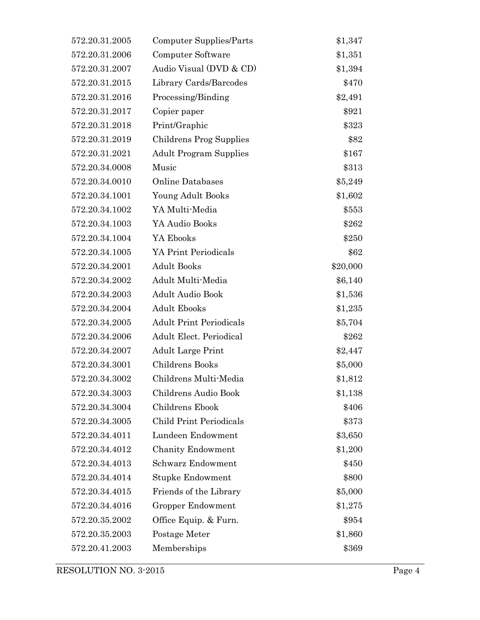| 572.20.31.2005 | Computer Supplies/Parts        | \$1,347  |
|----------------|--------------------------------|----------|
| 572.20.31.2006 | Computer Software              | \$1,351  |
| 572.20.31.2007 | Audio Visual (DVD & CD)        | \$1,394  |
| 572.20.31.2015 | Library Cards/Barcodes         | \$470    |
| 572.20.31.2016 | Processing/Binding             | \$2,491  |
| 572.20.31.2017 | Copier paper                   | \$921    |
| 572.20.31.2018 | Print/Graphic                  | \$323    |
| 572.20.31.2019 | Childrens Prog Supplies        | \$82     |
| 572.20.31.2021 | <b>Adult Program Supplies</b>  | \$167    |
| 572.20.34.0008 | Music                          | \$313    |
| 572.20.34.0010 | <b>Online Databases</b>        | \$5,249  |
| 572.20.34.1001 | Young Adult Books              | \$1,602  |
| 572.20.34.1002 | YA Multi-Media                 | \$553    |
| 572.20.34.1003 | YA Audio Books                 | \$262    |
| 572.20.34.1004 | YA Ebooks                      | \$250    |
| 572.20.34.1005 | YA Print Periodicals           | \$62     |
| 572.20.34.2001 | <b>Adult Books</b>             | \$20,000 |
| 572.20.34.2002 | Adult Multi-Media              | \$6,140  |
| 572.20.34.2003 | <b>Adult Audio Book</b>        | \$1,536  |
| 572.20.34.2004 | <b>Adult Ebooks</b>            | \$1,235  |
| 572.20.34.2005 | <b>Adult Print Periodicals</b> | \$5,704  |
| 572.20.34.2006 | <b>Adult Elect. Periodical</b> | \$262    |
| 572.20.34.2007 | <b>Adult Large Print</b>       | \$2,447  |
| 572.20.34.3001 | Childrens Books                | \$5,000  |
| 572.20.34.3002 | Childrens Multi-Media          | \$1,812  |
| 572.20.34.3003 | Childrens Audio Book           | \$1,138  |
| 572.20.34.3004 | Childrens Ebook                | \$406    |
| 572.20.34.3005 | Child Print Periodicals        | \$373    |
| 572.20.34.4011 | Lundeen Endowment              | \$3,650  |
| 572.20.34.4012 | <b>Chanity Endowment</b>       | \$1,200  |
| 572.20.34.4013 | Schwarz Endowment              | \$450    |
| 572.20.34.4014 | Stupke Endowment               | \$800    |
| 572.20.34.4015 | Friends of the Library         | \$5,000  |
| 572.20.34.4016 | Gropper Endowment              | \$1,275  |
| 572.20.35.2002 | Office Equip. & Furn.          | \$954    |
| 572.20.35.2003 | Postage Meter                  | \$1,860  |
| 572.20.41.2003 | Memberships                    | \$369    |